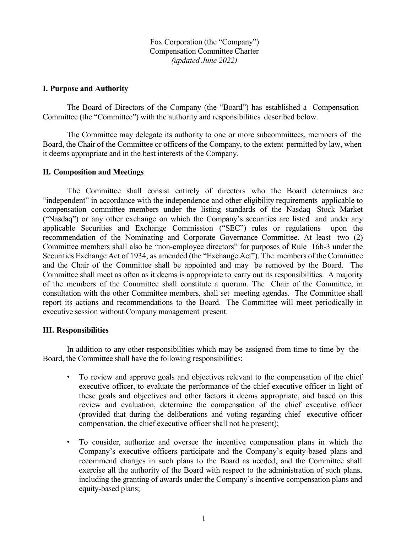Fox Corporation (the "Company") Compensation Committee Charter *(updated June 2022)*

## **I. Purpose and Authority**

The Board of Directors of the Company (the "Board") has established a Compensation Committee (the "Committee") with the authority and responsibilities described below.

The Committee may delegate its authority to one or more subcommittees, members of the Board, the Chair of the Committee or officers of the Company, to the extent permitted by law, when it deems appropriate and in the best interests of the Company.

## **II. Composition and Meetings**

The Committee shall consist entirely of directors who the Board determines are "independent" in accordance with the independence and other eligibility requirements applicable to compensation committee members under the listing standards of the Nasdaq Stock Market ("Nasdaq") or any other exchange on which the Company's securities are listed and under any applicable Securities and Exchange Commission ("SEC") rules or regulations upon the recommendation of the Nominating and Corporate Governance Committee. At least two (2) Committee members shall also be "non-employee directors" for purposes of Rule 16b-3 under the Securities Exchange Act of 1934, as amended (the "Exchange Act"). The members of the Committee and the Chair of the Committee shall be appointed and may be removed by the Board. The Committee shall meet as often as it deems is appropriate to carry out its responsibilities. A majority of the members of the Committee shall constitute a quorum. The Chair of the Committee, in consultation with the other Committee members, shall set meeting agendas. The Committee shall report its actions and recommendations to the Board. The Committee will meet periodically in executive session without Company management present.

## **III. Responsibilities**

In addition to any other responsibilities which may be assigned from time to time by the Board, the Committee shall have the following responsibilities:

- To review and approve goals and objectives relevant to the compensation of the chief executive officer, to evaluate the performance of the chief executive officer in light of these goals and objectives and other factors it deems appropriate, and based on this review and evaluation, determine the compensation of the chief executive officer (provided that during the deliberations and voting regarding chief executive officer compensation, the chief executive officer shall not be present);
- To consider, authorize and oversee the incentive compensation plans in which the Company's executive officers participate and the Company's equity-based plans and recommend changes in such plans to the Board as needed, and the Committee shall exercise all the authority of the Board with respect to the administration of such plans, including the granting of awards under the Company's incentive compensation plans and equity-based plans;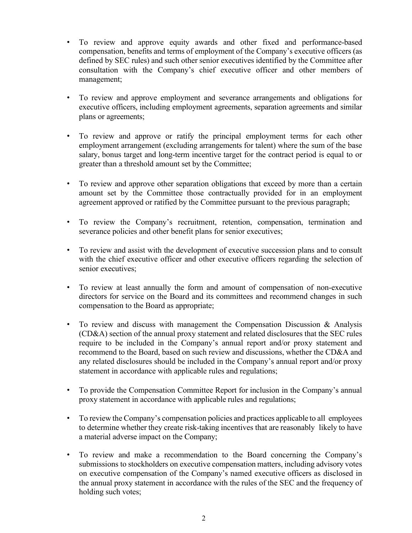- To review and approve equity awards and other fixed and performance-based compensation, benefits and terms of employment of the Company's executive officers (as defined by SEC rules) and such other senior executives identified by the Committee after consultation with the Company's chief executive officer and other members of management;
- To review and approve employment and severance arrangements and obligations for executive officers, including employment agreements, separation agreements and similar plans or agreements;
- To review and approve or ratify the principal employment terms for each other employment arrangement (excluding arrangements for talent) where the sum of the base salary, bonus target and long-term incentive target for the contract period is equal to or greater than a threshold amount set by the Committee;
- To review and approve other separation obligations that exceed by more than a certain amount set by the Committee those contractually provided for in an employment agreement approved or ratified by the Committee pursuant to the previous paragraph;
- To review the Company's recruitment, retention, compensation, termination and severance policies and other benefit plans for senior executives;
- To review and assist with the development of executive succession plans and to consult with the chief executive officer and other executive officers regarding the selection of senior executives;
- To review at least annually the form and amount of compensation of non-executive directors for service on the Board and its committees and recommend changes in such compensation to the Board as appropriate;
- To review and discuss with management the Compensation Discussion & Analysis (CD&A) section of the annual proxy statement and related disclosures that the SEC rules require to be included in the Company's annual report and/or proxy statement and recommend to the Board, based on such review and discussions, whether the CD&A and any related disclosures should be included in the Company's annual report and/or proxy statement in accordance with applicable rules and regulations;
- To provide the Compensation Committee Report for inclusion in the Company's annual proxy statement in accordance with applicable rules and regulations;
- To review the Company's compensation policies and practices applicable to all employees to determine whether they create risk-taking incentives that are reasonably likely to have a material adverse impact on the Company;
- To review and make a recommendation to the Board concerning the Company's submissions to stockholders on executive compensation matters, including advisory votes on executive compensation of the Company's named executive officers as disclosed in the annual proxy statement in accordance with the rules of the SEC and the frequency of holding such votes;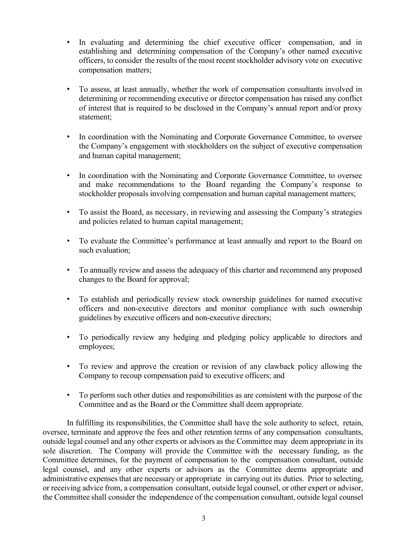- In evaluating and determining the chief executive officer compensation, and in establishing and determining compensation of the Company's other named executive officers, to consider the results of the most recentstockholder advisory vote on executive compensation matters;
- To assess, at least annually, whether the work of compensation consultants involved in determining or recommending executive or director compensation has raised any conflict of interest that is required to be disclosed in the Company's annual report and/or proxy statement;
- In coordination with the Nominating and Corporate Governance Committee, to oversee the Company's engagement with stockholders on the subject of executive compensation and human capital management;
- In coordination with the Nominating and Corporate Governance Committee, to oversee and make recommendations to the Board regarding the Company's response to stockholder proposals involving compensation and human capital management matters;
- To assist the Board, as necessary, in reviewing and assessing the Company's strategies and policies related to human capital management;
- To evaluate the Committee's performance at least annually and report to the Board on such evaluation;
- To annually review and assess the adequacy of this charter and recommend any proposed changes to the Board for approval;
- To establish and periodically review stock ownership guidelines for named executive officers and non-executive directors and monitor compliance with such ownership guidelines by executive officers and non-executive directors;
- To periodically review any hedging and pledging policy applicable to directors and employees;
- To review and approve the creation or revision of any clawback policy allowing the Company to recoup compensation paid to executive officers; and
- To perform such other duties and responsibilities as are consistent with the purpose of the Committee and as the Board or the Committee shall deem appropriate.

In fulfilling its responsibilities, the Committee shall have the sole authority to select, retain, oversee, terminate and approve the fees and other retention terms of any compensation consultants, outside legal counsel and any other experts or advisors as the Committee may deem appropriate in its sole discretion. The Company will provide the Committee with the necessary funding, as the Committee determines, for the payment of compensation to the compensation consultant, outside legal counsel, and any other experts or advisors as the Committee deems appropriate and administrative expenses that are necessary or appropriate in carrying out its duties. Prior to selecting, or receiving advice from, a compensation consultant, outside legal counsel, or other expert or advisor, the Committee shall consider the independence of the compensation consultant, outside legal counsel